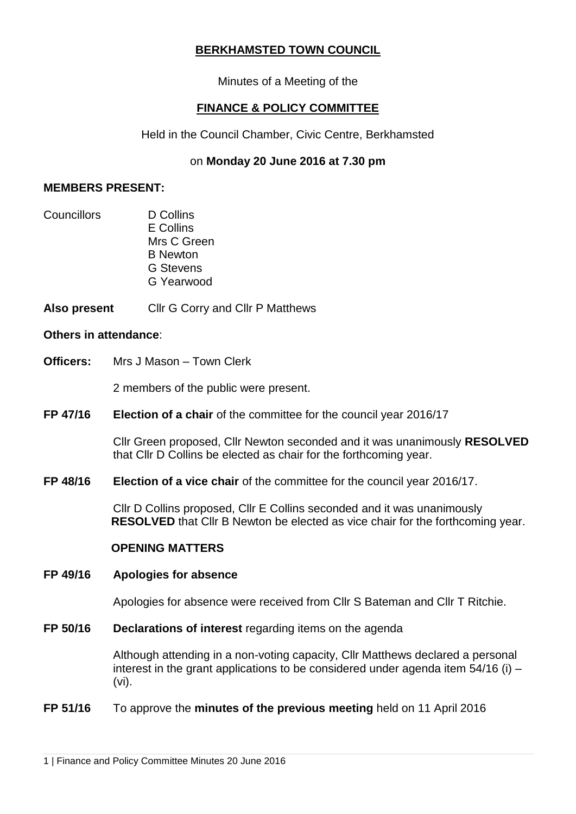# **BERKHAMSTED TOWN COUNCIL**

Minutes of a Meeting of the

# **FINANCE & POLICY COMMITTEE**

Held in the Council Chamber, Civic Centre, Berkhamsted

# on **Monday 20 June 2016 at 7.30 pm**

### **MEMBERS PRESENT:**

Councillors D Collins E Collins Mrs C Green B Newton G Stevens G Yearwood

**Also present** Cllr G Corry and Cllr P Matthews

#### **Others in attendance**:

**Officers:** Mrs J Mason – Town Clerk

2 members of the public were present.

**FP 47/16 Election of a chair** of the committee for the council year 2016/17

Cllr Green proposed, Cllr Newton seconded and it was unanimously **RESOLVED**  that Cllr D Collins be elected as chair for the forthcoming year.

**FP 48/16 Election of a vice chair** of the committee for the council year 2016/17.

Cllr D Collins proposed, Cllr E Collins seconded and it was unanimously **RESOLVED** that Cllr B Newton be elected as vice chair for the forthcoming year.

## **OPENING MATTERS**

#### **FP 49/16 Apologies for absence**

Apologies for absence were received from Cllr S Bateman and Cllr T Ritchie.

**FP 50/16 Declarations of interest** regarding items on the agenda

Although attending in a non-voting capacity, Cllr Matthews declared a personal interest in the grant applications to be considered under agenda item 54/16 (i) – (vi).

## **FP 51/16** To approve the **minutes of the previous meeting** held on 11 April 2016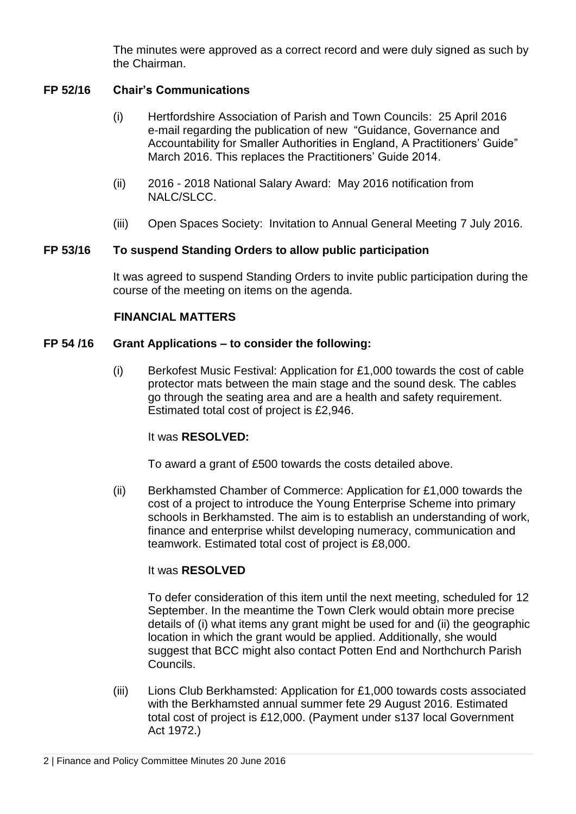The minutes were approved as a correct record and were duly signed as such by the Chairman.

# **FP 52/16 Chair's Communications**

- (i) Hertfordshire Association of Parish and Town Councils: 25 April 2016 e-mail regarding the publication of new "Guidance, Governance and Accountability for Smaller Authorities in England, A Practitioners' Guide" March 2016. This replaces the Practitioners' Guide 2014.
- (ii) 2016 2018 National Salary Award: May 2016 notification from NALC/SLCC.
- (iii) Open Spaces Society: Invitation to Annual General Meeting 7 July 2016.

## **FP 53/16 To suspend Standing Orders to allow public participation**

It was agreed to suspend Standing Orders to invite public participation during the course of the meeting on items on the agenda.

# **FINANCIAL MATTERS**

## **FP 54 /16 Grant Applications – to consider the following:**

(i) Berkofest Music Festival: Application for £1,000 towards the cost of cable protector mats between the main stage and the sound desk. The cables go through the seating area and are a health and safety requirement. Estimated total cost of project is £2,946.

## It was **RESOLVED:**

To award a grant of £500 towards the costs detailed above.

(ii) Berkhamsted Chamber of Commerce: Application for £1,000 towards the cost of a project to introduce the Young Enterprise Scheme into primary schools in Berkhamsted. The aim is to establish an understanding of work, finance and enterprise whilst developing numeracy, communication and teamwork. Estimated total cost of project is £8,000.

## It was **RESOLVED**

To defer consideration of this item until the next meeting, scheduled for 12 September. In the meantime the Town Clerk would obtain more precise details of (i) what items any grant might be used for and (ii) the geographic location in which the grant would be applied. Additionally, she would suggest that BCC might also contact Potten End and Northchurch Parish Councils.

(iii) Lions Club Berkhamsted: Application for £1,000 towards costs associated with the Berkhamsted annual summer fete 29 August 2016. Estimated total cost of project is £12,000. (Payment under s137 local Government Act 1972.)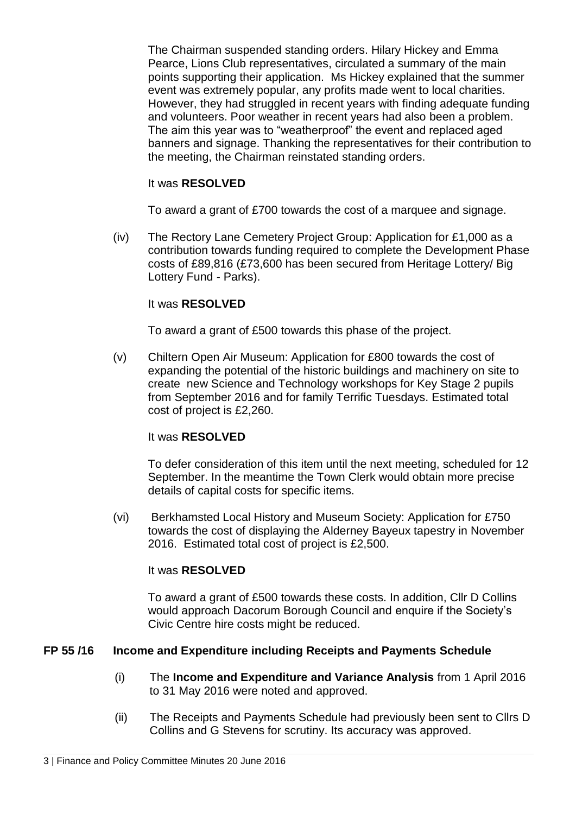The Chairman suspended standing orders. Hilary Hickey and Emma Pearce, Lions Club representatives, circulated a summary of the main points supporting their application. Ms Hickey explained that the summer event was extremely popular, any profits made went to local charities. However, they had struggled in recent years with finding adequate funding and volunteers. Poor weather in recent years had also been a problem. The aim this year was to "weatherproof" the event and replaced aged banners and signage. Thanking the representatives for their contribution to the meeting, the Chairman reinstated standing orders.

# It was **RESOLVED**

To award a grant of £700 towards the cost of a marquee and signage.

(iv) The Rectory Lane Cemetery Project Group: Application for £1,000 as a contribution towards funding required to complete the Development Phase costs of £89,816 (£73,600 has been secured from Heritage Lottery/ Big Lottery Fund - Parks).

# It was **RESOLVED**

To award a grant of £500 towards this phase of the project.

(v) Chiltern Open Air Museum: Application for £800 towards the cost of expanding the potential of the historic buildings and machinery on site to create new Science and Technology workshops for Key Stage 2 pupils from September 2016 and for family Terrific Tuesdays. Estimated total cost of project is £2,260.

## It was **RESOLVED**

To defer consideration of this item until the next meeting, scheduled for 12 September. In the meantime the Town Clerk would obtain more precise details of capital costs for specific items.

(vi) Berkhamsted Local History and Museum Society: Application for £750 towards the cost of displaying the Alderney Bayeux tapestry in November 2016. Estimated total cost of project is £2,500.

## It was **RESOLVED**

To award a grant of £500 towards these costs. In addition, Cllr D Collins would approach Dacorum Borough Council and enquire if the Society's Civic Centre hire costs might be reduced.

## **FP 55 /16 Income and Expenditure including Receipts and Payments Schedule**

- (i) The **Income and Expenditure and Variance Analysis** from 1 April 2016 to 31 May 2016 were noted and approved.
- (ii) The Receipts and Payments Schedule had previously been sent to Cllrs D Collins and G Stevens for scrutiny. Its accuracy was approved.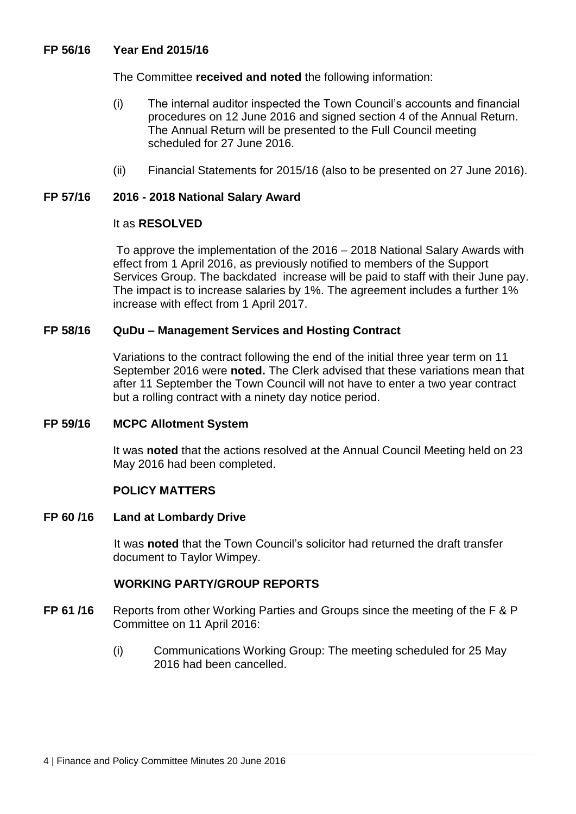## **FP 56/16 Year End 2015/16**

The Committee **received and noted** the following information:

- (i) The internal auditor inspected the Town Council's accounts and financial procedures on 12 June 2016 and signed section 4 of the Annual Return. The Annual Return will be presented to the Full Council meeting scheduled for 27 June 2016.
- (ii) Financial Statements for 2015/16 (also to be presented on 27 June 2016).

#### **FP 57/16 2016 - 2018 National Salary Award**

#### It as **RESOLVED**

To approve the implementation of the 2016 – 2018 National Salary Awards with effect from 1 April 2016, as previously notified to members of the Support Services Group. The backdated increase will be paid to staff with their June pay. The impact is to increase salaries by 1%. The agreement includes a further 1% increase with effect from 1 April 2017.

#### **FP 58/16 QuDu – Management Services and Hosting Contract**

Variations to the contract following the end of the initial three year term on 11 September 2016 were **noted.** The Clerk advised that these variations mean that after 11 September the Town Council will not have to enter a two year contract but a rolling contract with a ninety day notice period.

#### **FP 59/16 MCPC Allotment System**

It was **noted** that the actions resolved at the Annual Council Meeting held on 23 May 2016 had been completed.

## **POLICY MATTERS**

#### **FP 60 /16 Land at Lombardy Drive**

It was **noted** that the Town Council's solicitor had returned the draft transfer document to Taylor Wimpey.

## **WORKING PARTY/GROUP REPORTS**

- **FP 61 /16** Reports from other Working Parties and Groups since the meeting of the F & P Committee on 11 April 2016:
	- (i) Communications Working Group: The meeting scheduled for 25 May 2016 had been cancelled.